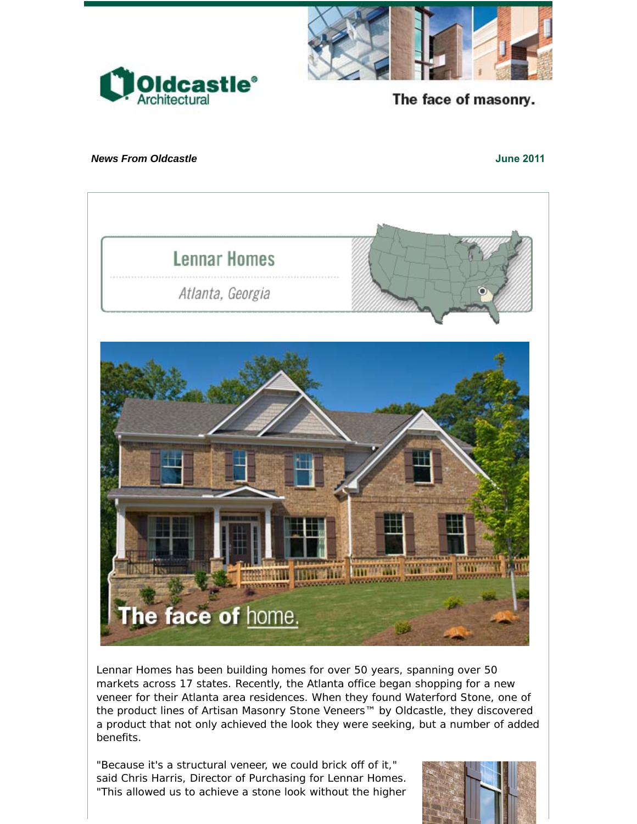



The face of masonry.

## *News From Oldcastle* **June 2011**



Lennar Homes has been building homes for over 50 years, spanning over 50 markets across 17 states. Recently, the Atlanta office began shopping for a new veneer for their Atlanta area residences. When they found Waterford Stone, one of the product lines of Artisan Masonry Stone Veneers™ by Oldcastle, they discovered a product that not only achieved the look they were seeking, but a number of added benefits.

"Because it's a structural veneer, we could brick off of it," said Chris Harris, Director of Purchasing for Lennar Homes. "This allowed us to achieve a stone look without the higher

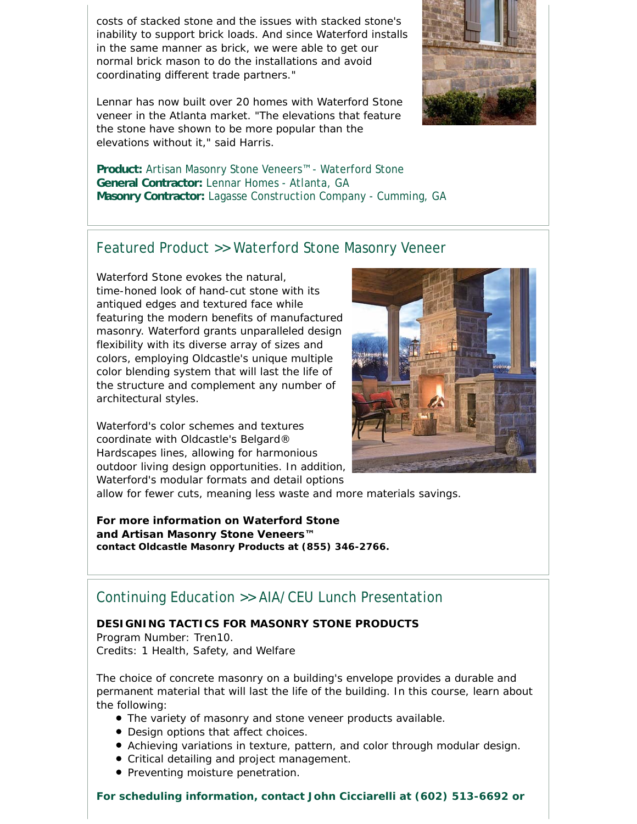costs of stacked stone and the issues with stacked stone's inability to support brick loads. And since Waterford installs in the same manner as brick, we were able to get our normal brick mason to do the installations and avoid coordinating different trade partners."

Lennar has now built over 20 homes with Waterford Stone veneer in the Atlanta market. "The elevations that feature the stone have shown to be more popular than the elevations without it," said Harris.



**Product:** Artisan Masonry Stone Veneers™ - Waterford Stone **General Contractor:** Lennar Homes - Atlanta, GA **Masonry Contractor:** Lagasse Construction Company - Cumming, GA

## Featured Product >> Waterford Stone Masonry Veneer

Waterford Stone evokes the natural, time-honed look of hand-cut stone with its antiqued edges and textured face while featuring the modern benefits of manufactured masonry. Waterford grants unparalleled design flexibility with its diverse array of sizes and colors, employing Oldcastle's unique multiple color blending system that will last the life of the structure and complement any number of architectural styles.

Waterford's color schemes and textures coordinate with Oldcastle's Belgard® Hardscapes lines, allowing for harmonious outdoor living design opportunities. In addition, Waterford's modular formats and detail options



allow for fewer cuts, meaning less waste and more materials savings.

**For more information on Waterford Stone and Artisan Masonry Stone Veneers™ contact Oldcastle Masonry Products at (855) 346-2766.**

## Continuing Education >> AIA/CEU Lunch Presentation

## **DESIGNING TACTICS FOR MASONRY STONE PRODUCTS**

Program Number: Tren10. Credits: 1 Health, Safety, and Welfare

The choice of concrete masonry on a building's envelope provides a durable and permanent material that will last the life of the building. In this course, learn about the following:

- The variety of masonry and stone veneer products available.
- Design options that affect choices.
- Achieving variations in texture, pattern, and color through modular design.
- Critical detailing and project management.
- **Preventing moisture penetration.**

**For scheduling information, contact John Cicciarelli at (602) 513-6692 or**